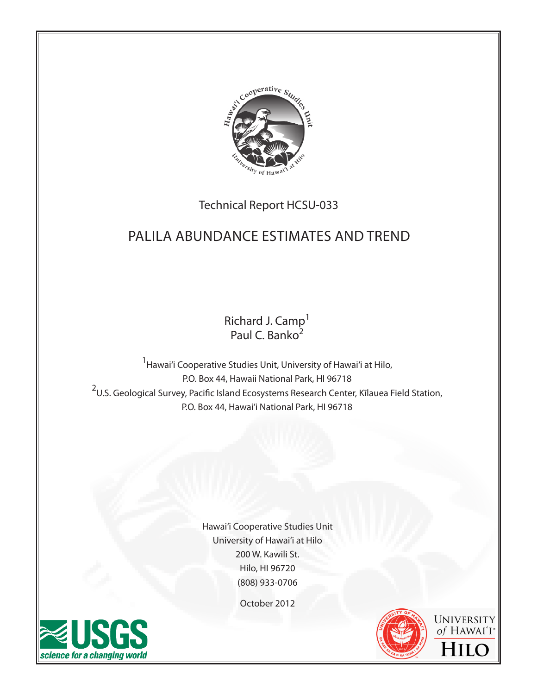

# Technical Report HCSU-033

# Palila Abundance estimates and trend

Richard J. Camp<sup>1</sup> Paul C. Banko<sup>2</sup>

<sup>1</sup> Hawai'i Cooperative Studies Unit, University of Hawai'i at Hilo, P.O. Box 44, Hawaii National Park, HI 96718 <sup>2</sup>U.S. Geological Survey, Pacific Island Ecosystems Research Center, Kīlauea Field Station, P.O. Box 44, Hawai'i National Park, HI 96718

> Hawai'i Cooperative Studies Unit University of Hawai'i at Hilo 200 W. Kawili St. Hilo, HI 96720 (808) 933-0706

> > October 2012





UNIVERSITY of HAWAI'I<sup>®</sup> HILC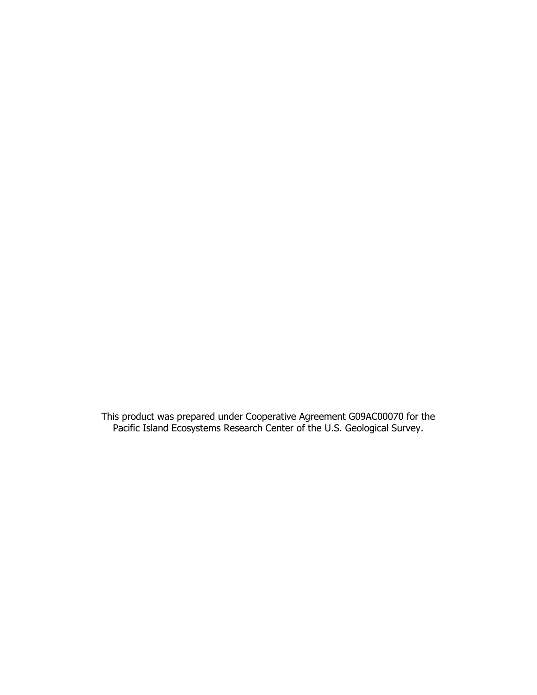This product was prepared under Cooperative Agreement G09AC00070 for the Pacific Island Ecosystems Research Center of the U.S. Geological Survey.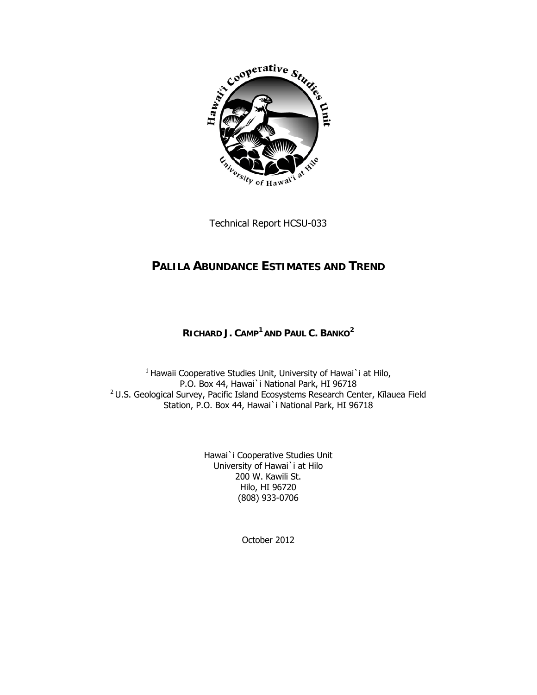

Technical Report HCSU-033

# **PALILA ABUNDANCE ESTIMATES AND TREND**

## **RICHARD J. CAMP<sup>1</sup> AND PAUL C. BANKO<sup>2</sup>**

<sup>1</sup> Hawaii Cooperative Studies Unit, University of Hawai`i at Hilo, P.O. Box 44, Hawai`i National Park, HI 96718 2 U.S. Geological Survey, Pacific Island Ecosystems Research Center, Kīlauea Field Station, P.O. Box 44, Hawai`i National Park, HI 96718

> Hawai`i Cooperative Studies Unit University of Hawai`i at Hilo 200 W. Kawili St. Hilo, HI 96720 (808) 933-0706

> > October 2012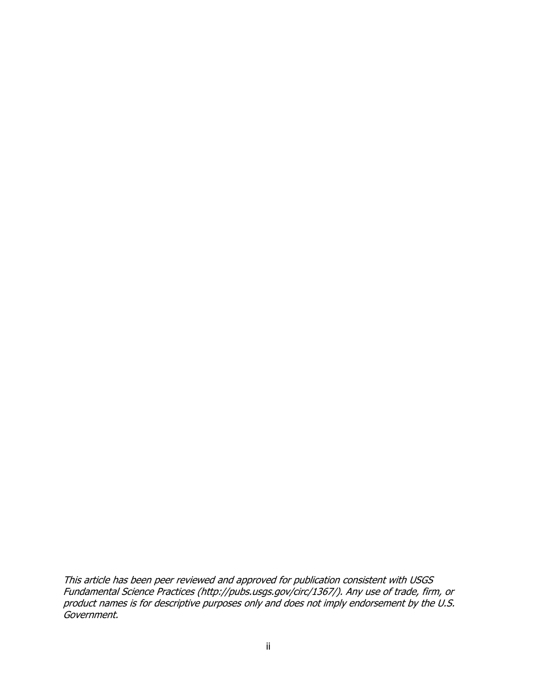This article has been peer reviewed and approved for publication consistent with USGS Fundamental Science Practices (http://pubs.usgs.gov/circ/1367/). Any use of trade, firm, or product names is for descriptive purposes only and does not imply endorsement by the U.S. Government.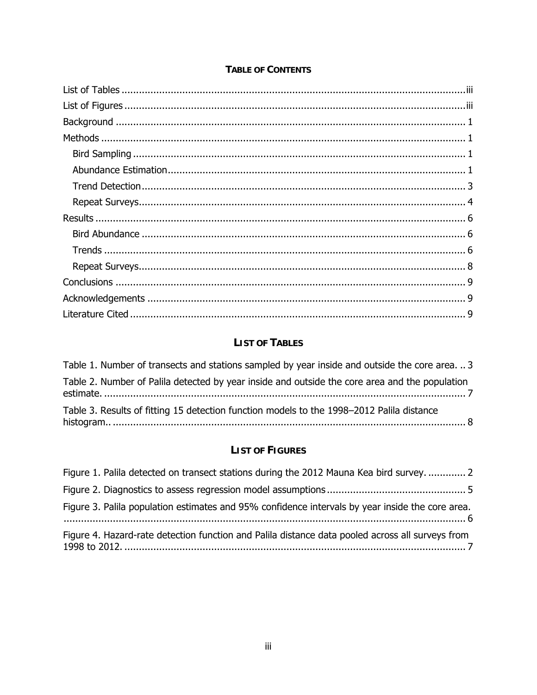# **LIST OF TABLES**

| Table 1. Number of transects and stations sampled by year inside and outside the core area.  3 |
|------------------------------------------------------------------------------------------------|
| Table 2. Number of Palila detected by year inside and outside the core area and the population |
| Table 3. Results of fitting 15 detection function models to the 1998-2012 Palila distance      |

# **LIST OF FIGURES**

| Figure 1. Palila detected on transect stations during the 2012 Mauna Kea bird survey.  2         |  |
|--------------------------------------------------------------------------------------------------|--|
|                                                                                                  |  |
| Figure 3. Palila population estimates and 95% confidence intervals by year inside the core area. |  |
| Figure 4. Hazard-rate detection function and Palila distance data pooled across all surveys from |  |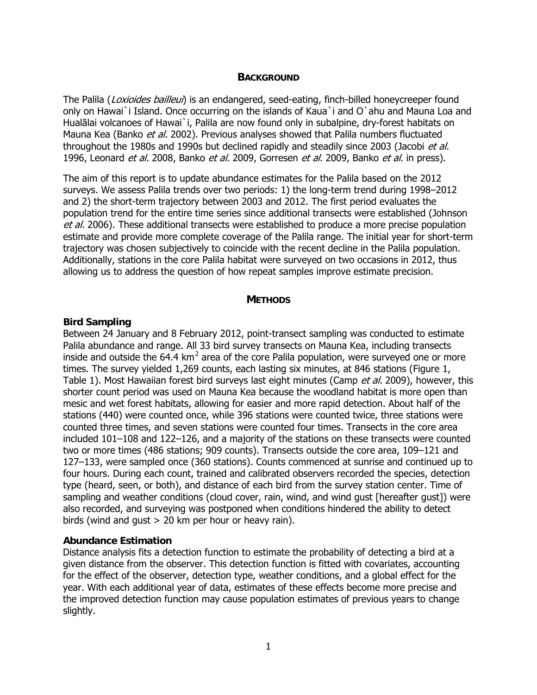#### **BACKGROUND**

<span id="page-5-0"></span>The Palila (Loxioides bailleui) is an endangered, seed-eating, finch-billed honeycreeper found only on Hawai`i Island. Once occurring on the islands of Kaua`i and O`ahu and Mauna Loa and Hualālai volcanoes of Hawai`i, Palila are now found only in subalpine, dry-forest habitats on Mauna Kea (Banko et al. 2002). Previous analyses showed that Palila numbers fluctuated throughout the 1980s and 1990s but declined rapidly and steadily since 2003 (Jacobi et al. 1996, Leonard *et al.* 2008, Banko *et al.* 2009, Gorresen *et al.* 2009, Banko *et al.* in press).

The aim of this report is to update abundance estimates for the Palila based on the 2012 surveys. We assess Palila trends over two periods: 1) the long-term trend during 1998–2012 and 2) the short-term trajectory between 2003 and 2012. The first period evaluates the population trend for the entire time series since additional transects were established (Johnson et al. 2006). These additional transects were established to produce a more precise population estimate and provide more complete coverage of the Palila range. The initial year for short-term trajectory was chosen subjectively to coincide with the recent decline in the Palila population. Additionally, stations in the core Palila habitat were surveyed on two occasions in 2012, thus allowing us to address the question of how repeat samples improve estimate precision.

#### **METHODS**

#### **Bird Sampling**

Between 24 January and 8 February 2012, point-transect sampling was conducted to estimate Palila abundance and range. All 33 bird survey transects on Mauna Kea, including transects inside and outside the 64.4 km<sup>2</sup> area of the core Palila population, were surveyed one or more times. The survey yielded 1,269 counts, each lasting six minutes, at 846 stations (Figure 1, Table 1). Most Hawaiian forest bird surveys last eight minutes (Camp et al. 2009), however, this shorter count period was used on Mauna Kea because the woodland habitat is more open than mesic and wet forest habitats, allowing for easier and more rapid detection. About half of the stations (440) were counted once, while 396 stations were counted twice, three stations were counted three times, and seven stations were counted four times. Transects in the core area included 101–108 and 122–126, and a majority of the stations on these transects were counted two or more times (486 stations; 909 counts). Transects outside the core area, 109–121 and 127–133, were sampled once (360 stations). Counts commenced at sunrise and continued up to four hours. During each count, trained and calibrated observers recorded the species, detection type (heard, seen, or both), and distance of each bird from the survey station center. Time of sampling and weather conditions (cloud cover, rain, wind, and wind gust [hereafter gust]) were also recorded, and surveying was postponed when conditions hindered the ability to detect birds (wind and gust > 20 km per hour or heavy rain).

#### **Abundance Estimation**

Distance analysis fits a detection function to estimate the probability of detecting a bird at a given distance from the observer. This detection function is fitted with covariates, accounting for the effect of the observer, detection type, weather conditions, and a global effect for the year. With each additional year of data, estimates of these effects become more precise and the improved detection function may cause population estimates of previous years to change slightly.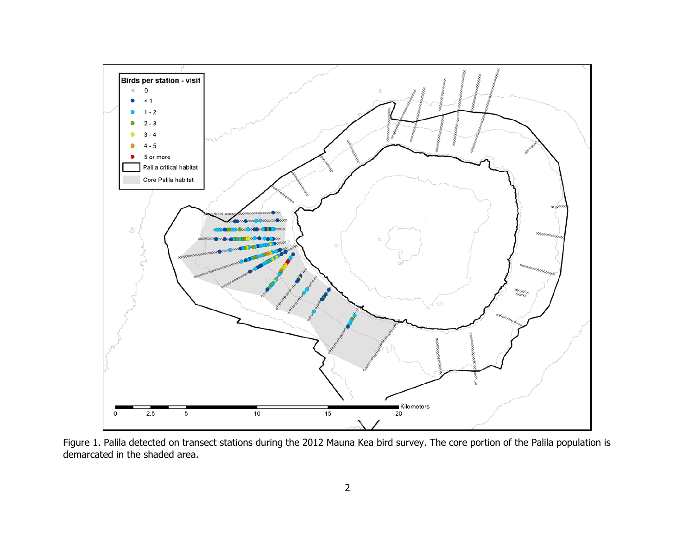<span id="page-6-0"></span>

Figure 1. Palila detected on transect stations during the 2012 Mauna Kea bird survey. The core portion of the Palila population is demarcated in the shaded area.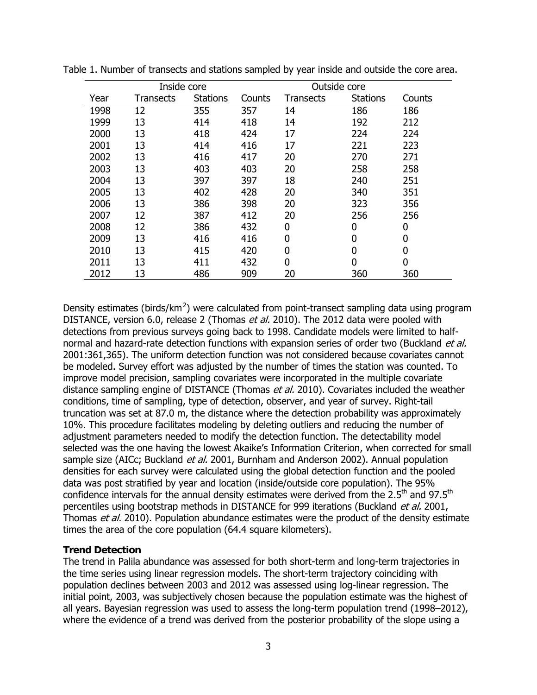| Inside core<br>Outside core |                  |                 |        |                  |                 |        |
|-----------------------------|------------------|-----------------|--------|------------------|-----------------|--------|
| Year                        | <b>Transects</b> | <b>Stations</b> | Counts | <b>Transects</b> | <b>Stations</b> | Counts |
| 1998                        | 12               | 355             | 357    | 14               | 186             | 186    |
| 1999                        | 13               | 414             | 418    | 14               | 192             | 212    |
| 2000                        | 13               | 418             | 424    | 17               | 224             | 224    |
| 2001                        | 13               | 414             | 416    | 17               | 221             | 223    |
| 2002                        | 13               | 416             | 417    | 20               | 270             | 271    |
| 2003                        | 13               | 403             | 403    | 20               | 258             | 258    |
| 2004                        | 13               | 397             | 397    | 18               | 240             | 251    |
| 2005                        | 13               | 402             | 428    | 20               | 340             | 351    |
| 2006                        | 13               | 386             | 398    | 20               | 323             | 356    |
| 2007                        | 12               | 387             | 412    | 20               | 256             | 256    |
| 2008                        | 12               | 386             | 432    | 0                | 0               | 0      |
| 2009                        | 13               | 416             | 416    | 0                | $\overline{0}$  | 0      |
| 2010                        | 13               | 415             | 420    | 0                | $\overline{0}$  | 0      |
| 2011                        | 13               | 411             | 432    | 0                | $\overline{0}$  | 0      |
| 2012                        | 13               | 486             | 909    | 20               | 360             | 360    |

<span id="page-7-0"></span>Table 1. Number of transects and stations sampled by year inside and outside the core area.

Density estimates (birds/km<sup>2</sup>) were calculated from point-transect sampling data using program DISTANCE, version 6.0, release 2 (Thomas et al. 2010). The 2012 data were pooled with detections from previous surveys going back to 1998. Candidate models were limited to halfnormal and hazard-rate detection functions with expansion series of order two (Buckland et al. 2001:361,365). The uniform detection function was not considered because covariates cannot be modeled. Survey effort was adjusted by the number of times the station was counted. To improve model precision, sampling covariates were incorporated in the multiple covariate distance sampling engine of DISTANCE (Thomas *et al.* 2010). Covariates included the weather conditions, time of sampling, type of detection, observer, and year of survey. Right-tail truncation was set at 87.0 m, the distance where the detection probability was approximately 10%. This procedure facilitates modeling by deleting outliers and reducing the number of adjustment parameters needed to modify the detection function. The detectability model selected was the one having the lowest Akaike's Information Criterion, when corrected for small sample size (AICc; Buckland et al. 2001, Burnham and Anderson 2002). Annual population densities for each survey were calculated using the global detection function and the pooled data was post stratified by year and location (inside/outside core population). The 95% confidence intervals for the annual density estimates were derived from the 2.5<sup>th</sup> and 97.5<sup>th</sup> percentiles using bootstrap methods in DISTANCE for 999 iterations (Buckland et al. 2001, Thomas et al. 2010). Population abundance estimates were the product of the density estimate times the area of the core population (64.4 square kilometers).

#### **Trend Detection**

The trend in Palila abundance was assessed for both short-term and long-term trajectories in the time series using linear regression models. The short-term trajectory coinciding with population declines between 2003 and 2012 was assessed using log-linear regression. The initial point, 2003, was subjectively chosen because the population estimate was the highest of all years. Bayesian regression was used to assess the long-term population trend (1998–2012), where the evidence of a trend was derived from the posterior probability of the slope using a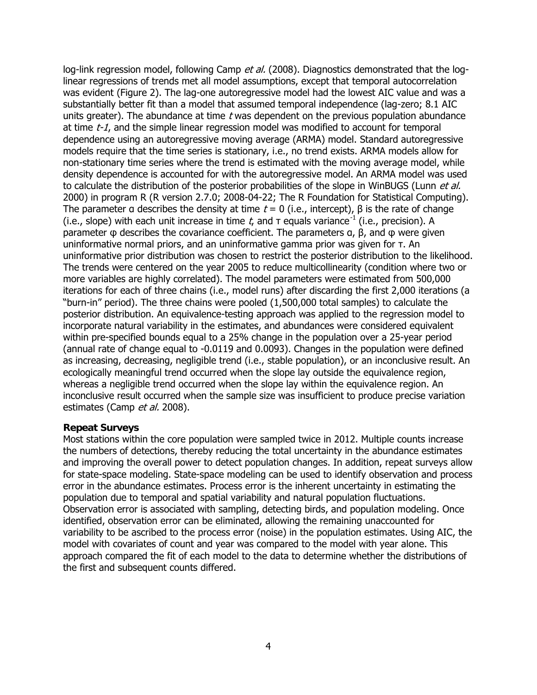<span id="page-8-0"></span>log-link regression model, following Camp et al. (2008). Diagnostics demonstrated that the loglinear regressions of trends met all model assumptions, except that temporal autocorrelation was evident (Figure 2). The lag-one autoregressive model had the lowest AIC value and was a substantially better fit than a model that assumed temporal independence (lag-zero; 8.1 AIC units greater). The abundance at time  $t$  was dependent on the previous population abundance at time  $t$ -1, and the simple linear regression model was modified to account for temporal dependence using an autoregressive moving average (ARMA) model. Standard autoregressive models require that the time series is stationary, i.e., no trend exists. ARMA models allow for non-stationary time series where the trend is estimated with the moving average model, while density dependence is accounted for with the autoregressive model. An ARMA model was used to calculate the distribution of the posterior probabilities of the slope in WinBUGS (Lunn et al. 2000) in program R (R version 2.7.0; 2008-04-22; The R Foundation for Statistical Computing). The parameter a describes the density at time  $t = 0$  (i.e., intercept),  $\beta$  is the rate of change (i.e., slope) with each unit increase in time t, and  $\tau$  equals variance<sup>-1</sup> (i.e., precision). A parameter φ describes the covariance coefficient. The parameters α, β, and φ were given uninformative normal priors, and an uninformative gamma prior was given for τ. An uninformative prior distribution was chosen to restrict the posterior distribution to the likelihood. The trends were centered on the year 2005 to reduce multicollinearity (condition where two or more variables are highly correlated). The model parameters were estimated from 500,000 iterations for each of three chains (i.e., model runs) after discarding the first 2,000 iterations (a "burn-in" period). The three chains were pooled (1,500,000 total samples) to calculate the posterior distribution. An equivalence-testing approach was applied to the regression model to incorporate natural variability in the estimates, and abundances were considered equivalent within pre-specified bounds equal to a 25% change in the population over a 25-year period (annual rate of change equal to -0.0119 and 0.0093). Changes in the population were defined as increasing, decreasing, negligible trend (i.e., stable population), or an inconclusive result. An ecologically meaningful trend occurred when the slope lay outside the equivalence region, whereas a negligible trend occurred when the slope lay within the equivalence region. An inconclusive result occurred when the sample size was insufficient to produce precise variation estimates (Camp et al. 2008).

#### **Repeat Surveys**

Most stations within the core population were sampled twice in 2012. Multiple counts increase the numbers of detections, thereby reducing the total uncertainty in the abundance estimates and improving the overall power to detect population changes. In addition, repeat surveys allow for state-space modeling. State-space modeling can be used to identify observation and process error in the abundance estimates. Process error is the inherent uncertainty in estimating the population due to temporal and spatial variability and natural population fluctuations. Observation error is associated with sampling, detecting birds, and population modeling. Once identified, observation error can be eliminated, allowing the remaining unaccounted for variability to be ascribed to the process error (noise) in the population estimates. Using AIC, the model with covariates of count and year was compared to the model with year alone. This approach compared the fit of each model to the data to determine whether the distributions of the first and subsequent counts differed.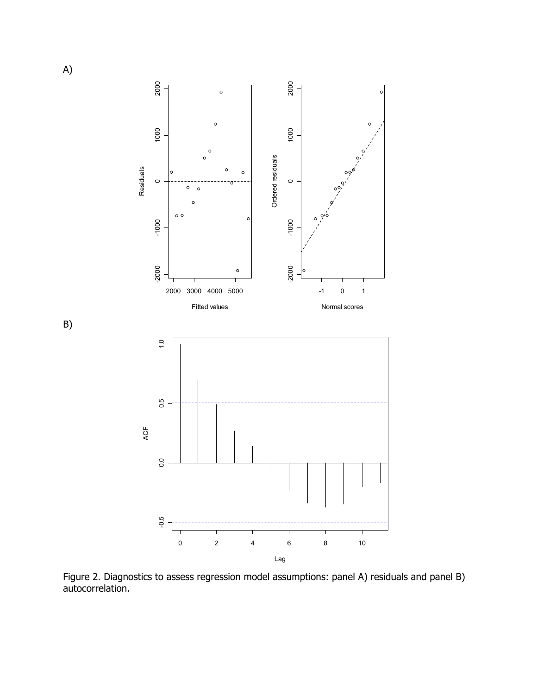<span id="page-9-0"></span>

Figure 2. Diagnostics to assess regression model assumptions: panel A) residuals and panel B) autocorrelation.

B)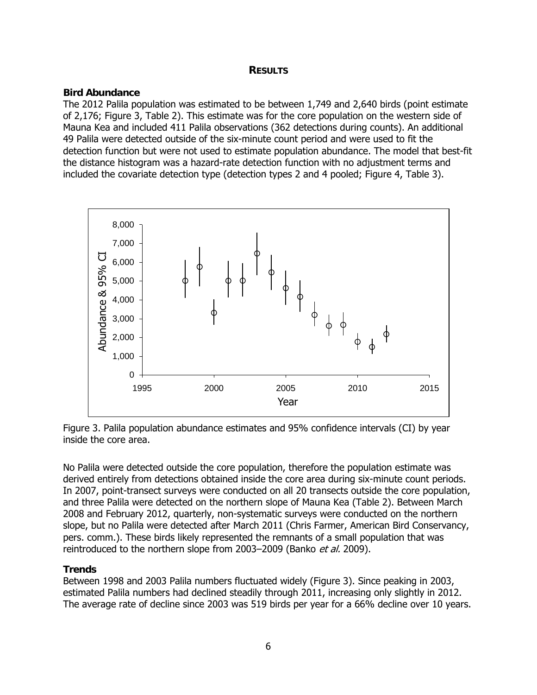### **RESULTS**

### <span id="page-10-0"></span>**Bird Abundance**

The 2012 Palila population was estimated to be between 1,749 and 2,640 birds (point estimate of 2,176; Figure 3, Table 2). This estimate was for the core population on the western side of Mauna Kea and included 411 Palila observations (362 detections during counts). An additional 49 Palila were detected outside of the six-minute count period and were used to fit the detection function but were not used to estimate population abundance. The model that best-fit the distance histogram was a hazard-rate detection function with no adjustment terms and included the covariate detection type (detection types 2 and 4 pooled; Figure 4, Table 3).



Figure 3. Palila population abundance estimates and 95% confidence intervals (CI) by year inside the core area.

No Palila were detected outside the core population, therefore the population estimate was derived entirely from detections obtained inside the core area during six-minute count periods. In 2007, point-transect surveys were conducted on all 20 transects outside the core population, and three Palila were detected on the northern slope of Mauna Kea (Table 2). Between March 2008 and February 2012, quarterly, non-systematic surveys were conducted on the northern slope, but no Palila were detected after March 2011 (Chris Farmer, American Bird Conservancy, pers. comm.). These birds likely represented the remnants of a small population that was reintroduced to the northern slope from 2003–2009 (Banko et al. 2009).

### **Trends**

Between 1998 and 2003 Palila numbers fluctuated widely (Figure 3). Since peaking in 2003, estimated Palila numbers had declined steadily through 2011, increasing only slightly in 2012. The average rate of decline since 2003 was 519 birds per year for a 66% decline over 10 years.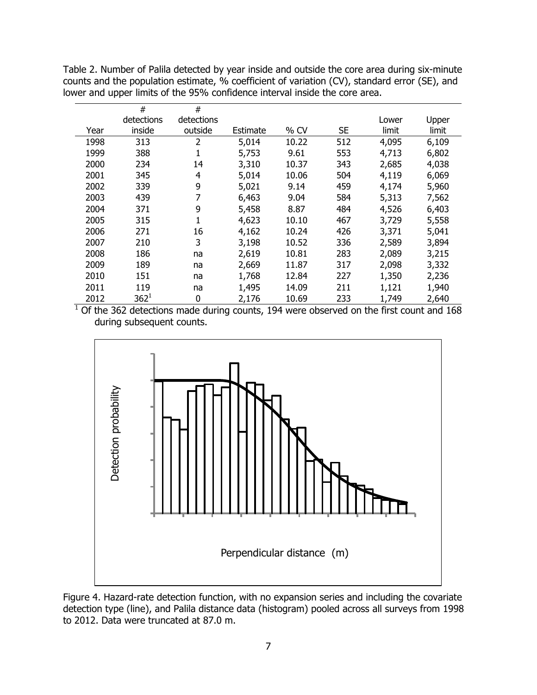<span id="page-11-0"></span>Table 2. Number of Palila detected by year inside and outside the core area during six-minute counts and the population estimate, % coefficient of variation (CV), standard error (SE), and lower and upper limits of the 95% confidence interval inside the core area.

|      | #          | #          |          |        |           |       |       |
|------|------------|------------|----------|--------|-----------|-------|-------|
|      | detections | detections |          |        |           | Lower | Upper |
| Year | inside     | outside    | Estimate | $%$ CV | <b>SE</b> | limit | limit |
| 1998 | 313        | 2          | 5,014    | 10.22  | 512       | 4,095 | 6,109 |
| 1999 | 388        |            | 5,753    | 9.61   | 553       | 4,713 | 6,802 |
| 2000 | 234        | 14         | 3,310    | 10.37  | 343       | 2,685 | 4,038 |
| 2001 | 345        | 4          | 5,014    | 10.06  | 504       | 4,119 | 6,069 |
| 2002 | 339        | 9          | 5,021    | 9.14   | 459       | 4,174 | 5,960 |
| 2003 | 439        | 7          | 6,463    | 9.04   | 584       | 5,313 | 7,562 |
| 2004 | 371        | 9          | 5,458    | 8.87   | 484       | 4,526 | 6,403 |
| 2005 | 315        |            | 4,623    | 10.10  | 467       | 3,729 | 5,558 |
| 2006 | 271        | 16         | 4,162    | 10.24  | 426       | 3,371 | 5,041 |
| 2007 | 210        | 3          | 3,198    | 10.52  | 336       | 2,589 | 3,894 |
| 2008 | 186        | na         | 2,619    | 10.81  | 283       | 2,089 | 3,215 |
| 2009 | 189        | na         | 2,669    | 11.87  | 317       | 2,098 | 3,332 |
| 2010 | 151        | na         | 1,768    | 12.84  | 227       | 1,350 | 2,236 |
| 2011 | 119        | na         | 1,495    | 14.09  | 211       | 1,121 | 1,940 |
| 2012 | $362^1$    | 0          | 2,176    | 10.69  | 233       | 1,749 | 2,640 |

 $1$  Of the 362 detections made during counts, 194 were observed on the first count and 168 during subsequent counts.



Figure 4. Hazard-rate detection function, with no expansion series and including the covariate detection type (line), and Palila distance data (histogram) pooled across all surveys from 1998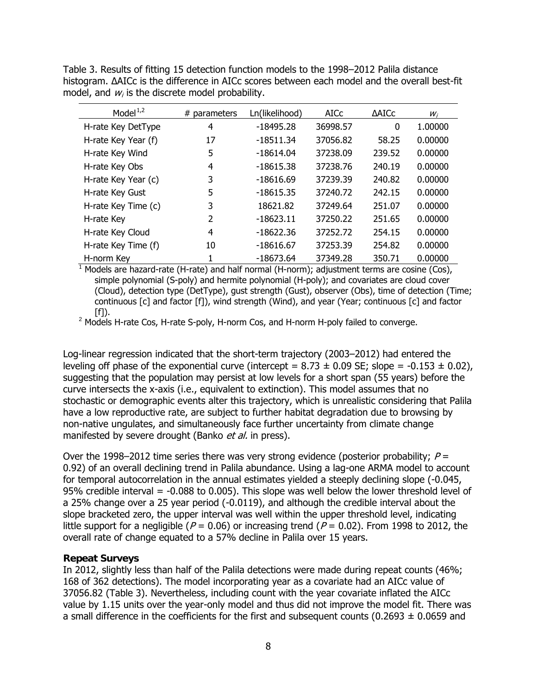<span id="page-12-0"></span>Table 3. Results of fitting 15 detection function models to the 1998–2012 Palila distance histogram. ΔAICc is the difference in AICc scores between each model and the overall best-fit model, and  $w_i$  is the discrete model probability.

| Model $1,2$         | # parameters | Ln(likelihood) | <b>AICC</b> | <b>AAICC</b> | $W_i$   |
|---------------------|--------------|----------------|-------------|--------------|---------|
| H-rate Key DetType  | 4            | $-18495.28$    | 36998.57    | 0            | 1.00000 |
| H-rate Key Year (f) | 17           | -18511.34      | 37056.82    | 58.25        | 0.00000 |
| H-rate Key Wind     | 5            | $-18614.04$    | 37238.09    | 239.52       | 0.00000 |
| H-rate Key Obs      | 4            | $-18615.38$    | 37238.76    | 240.19       | 0.00000 |
| H-rate Key Year (c) | 3            | $-18616.69$    | 37239.39    | 240.82       | 0.00000 |
| H-rate Key Gust     | 5            | $-18615.35$    | 37240.72    | 242.15       | 0.00000 |
| H-rate Key Time (c) | 3            | 18621.82       | 37249.64    | 251.07       | 0.00000 |
| H-rate Key          | 2            | $-18623.11$    | 37250.22    | 251.65       | 0.00000 |
| H-rate Key Cloud    | 4            | $-18622.36$    | 37252.72    | 254.15       | 0.00000 |
| H-rate Key Time (f) | 10           | $-18616.67$    | 37253.39    | 254.82       | 0.00000 |
| H-norm Key          | 1            | $-18673.64$    | 37349.28    | 350.71       | 0.00000 |

 $1$  Models are hazard-rate (H-rate) and half normal (H-norm); adjustment terms are cosine (Cos), simple polynomial (S-poly) and hermite polynomial (H-poly); and covariates are cloud cover (Cloud), detection type (DetType), gust strength (Gust), observer (Obs), time of detection (Time; continuous [c] and factor [f]), wind strength (Wind), and year (Year; continuous [c] and factor  $[f]$ ).

 $2$  Models H-rate Cos, H-rate S-poly, H-norm Cos, and H-norm H-poly failed to converge.

Log-linear regression indicated that the short-term trajectory (2003–2012) had entered the leveling off phase of the exponential curve (intercept =  $8.73 \pm 0.09$  SE; slope =  $-0.153 \pm 0.02$ ), suggesting that the population may persist at low levels for a short span (55 years) before the curve intersects the x-axis (i.e., equivalent to extinction). This model assumes that no stochastic or demographic events alter this trajectory, which is unrealistic considering that Palila have a low reproductive rate, are subject to further habitat degradation due to browsing by non-native ungulates, and simultaneously face further uncertainty from climate change manifested by severe drought (Banko et al. in press).

Over the 1998–2012 time series there was very strong evidence (posterior probability;  $P =$ 0.92) of an overall declining trend in Palila abundance. Using a lag-one ARMA model to account for temporal autocorrelation in the annual estimates yielded a steeply declining slope (-0.045, 95% credible interval = -0.088 to 0.005). This slope was well below the lower threshold level of a 25% change over a 25 year period (-0.0119), and although the credible interval about the slope bracketed zero, the upper interval was well within the upper threshold level, indicating little support for a negligible ( $P = 0.06$ ) or increasing trend ( $P = 0.02$ ). From 1998 to 2012, the overall rate of change equated to a 57% decline in Palila over 15 years.

### **Repeat Surveys**

In 2012, slightly less than half of the Palila detections were made during repeat counts (46%; 168 of 362 detections). The model incorporating year as a covariate had an AICc value of 37056.82 (Table 3). Nevertheless, including count with the year covariate inflated the AICc value by 1.15 units over the year-only model and thus did not improve the model fit. There was a small difference in the coefficients for the first and subsequent counts (0.2693  $\pm$  0.0659 and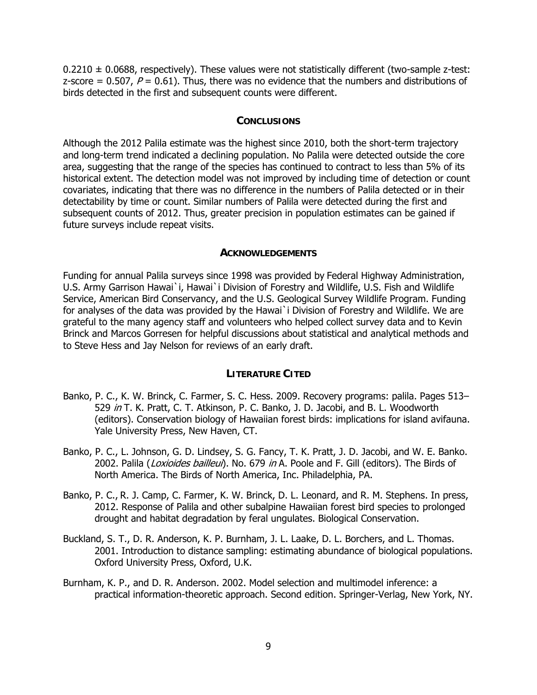<span id="page-13-0"></span> $0.2210 \pm 0.0688$ , respectively). These values were not statistically different (two-sample z-test: z-score = 0.507,  $P = 0.61$ ). Thus, there was no evidence that the numbers and distributions of birds detected in the first and subsequent counts were different.

#### **CONCLUSIONS**

Although the 2012 Palila estimate was the highest since 2010, both the short-term trajectory and long-term trend indicated a declining population. No Palila were detected outside the core area, suggesting that the range of the species has continued to contract to less than 5% of its historical extent. The detection model was not improved by including time of detection or count covariates, indicating that there was no difference in the numbers of Palila detected or in their detectability by time or count. Similar numbers of Palila were detected during the first and subsequent counts of 2012. Thus, greater precision in population estimates can be gained if future surveys include repeat visits.

#### **ACKNOWLEDGEMENTS**

Funding for annual Palila surveys since 1998 was provided by Federal Highway Administration, U.S. Army Garrison Hawai`i, Hawai`i Division of Forestry and Wildlife, U.S. Fish and Wildlife Service, American Bird Conservancy, and the U.S. Geological Survey Wildlife Program. Funding for analyses of the data was provided by the Hawai`i Division of Forestry and Wildlife. We are grateful to the many agency staff and volunteers who helped collect survey data and to Kevin Brinck and Marcos Gorresen for helpful discussions about statistical and analytical methods and to Steve Hess and Jay Nelson for reviews of an early draft.

#### **LITERATURE CITED**

- Banko, P. C., K. W. Brinck, C. Farmer, S. C. Hess. 2009. Recovery programs: palila. Pages 513– 529 in T. K. Pratt, C. T. Atkinson, P. C. Banko, J. D. Jacobi, and B. L. Woodworth (editors). Conservation biology of Hawaiian forest birds: implications for island avifauna. Yale University Press, New Haven, CT.
- Banko, P. C., L. Johnson, G. D. Lindsey, S. G. Fancy, T. K. Pratt, J. D. Jacobi, and W. E. Banko. 2002. Palila (Loxioides bailleui). No. 679 in A. Poole and F. Gill (editors). The Birds of North America. The Birds of North America, Inc. Philadelphia, PA.
- Banko, P. C., R. J. Camp, C. Farmer, K. W. Brinck, D. L. Leonard, and R. M. Stephens. In press, 2012. Response of Palila and other subalpine Hawaiian forest bird species to prolonged drought and habitat degradation by feral ungulates. Biological Conservation.
- Buckland, S. T., D. R. Anderson, K. P. Burnham, J. L. Laake, D. L. Borchers, and L. Thomas. 2001. Introduction to distance sampling: estimating abundance of biological populations. Oxford University Press, Oxford, U.K.
- Burnham, K. P., and D. R. Anderson. 2002. Model selection and multimodel inference: a practical information-theoretic approach. Second edition. Springer-Verlag, New York, NY.